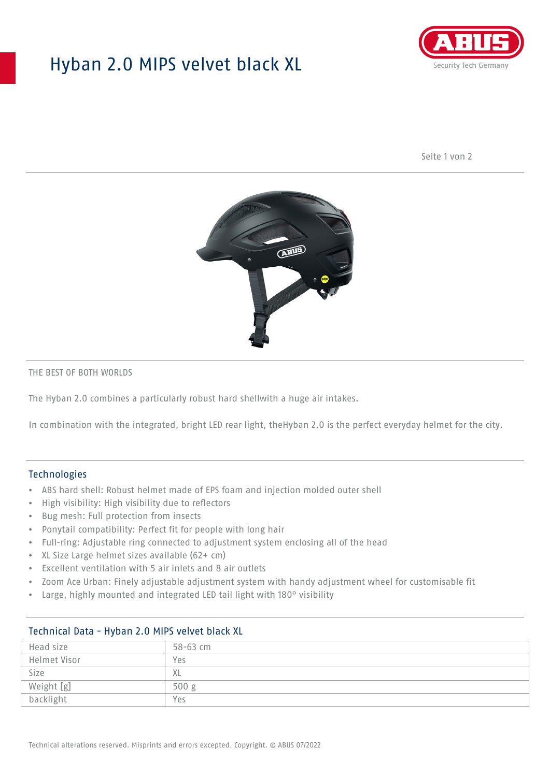## Hyban 2.0 MIPS velvet black XL



Seite 1 von 2



#### THE BEST OF BOTH WORLDS

The Hyban 2.0 combines a particularly robust hard shellwith a huge air intakes.

In combination with the integrated, bright LED rear light, theHyban 2.0 is the perfect everyday helmet for the city.

### Technologies

- ABS hard shell: Robust helmet made of EPS foam and injection molded outer shell
- High visibility: High visibility due to reflectors
- Bug mesh: Full protection from insects
- Ponytail compatibility: Perfect fit for people with long hair
- Full-ring: Adjustable ring connected to adjustment system enclosing all of the head
- XL Size Large helmet sizes available (62+ cm)
- Excellent ventilation with 5 air inlets and 8 air outlets
- Zoom Ace Urban: Finely adjustable adjustment system with handy adjustment wheel for customisable fit
- Large, highly mounted and integrated LED tail light with 180° visibility

| Head size    | $58 - 63$ cm |
|--------------|--------------|
| Helmet Visor | Yes          |
| Size         | XL           |
| Weight [g]   | 500 g        |
| backlight    | Yes          |

## Technical Data - Hyban 2.0 MIPS velvet black XL